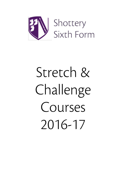

# Stretch & Challenge Courses 2016-17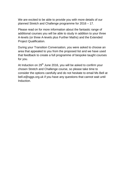We are excited to be able to provide you with more details of our planned Stretch and Challenge programme for 2016 – 17.

Please read on for more information about the fantastic range of additional courses you will be able to study in addition to your three A-levels (or three A-levels plus Further Maths) and the Extended Project Qualification.

During your Transition Conversation, you were asked to choose an area that appealed to you from the proposed list and we have used that feedback to create a full programme of bespoke taught courses for you.

At Induction on 29<sup>th</sup> June 2016, you will be asked to confirm your chosen Stretch and Challenge course, so please take time to consider the options carefully and do not hesitate to email Ms Bell at bell.e@sggs.org.uk if you have any questions that cannot wait until Induction.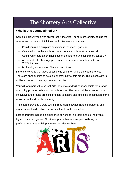# The Shottery Arts Collective

## **Who is this course aimed at?**

Come join us! Anyone with an interest in the Arts – performers, artists, behind the scenes and those who think they would like to run a company.

- Could you run a sculpture exhibition in the manor garden?
- Can you inspire the whole school to create a collaborative tapestry?
- Could you create an original piece of theatre to tour local primary schools?
- Are you able to choreograph a dance piece to celebrate International Women's Day?
- Is directing an animated film your cup of tea?

If the answer to any of these questions is yes, then this is the course for you. There are opportunities to be a big or small part of this group. This eclectic group will be expected to devise, create and excite.

You will form part of the school Arts Collective and will be responsible for a range of exciting projects both in and outside school. The group will be expected to run innovative and ground breaking projects to inspire and ignite the imagination of the whole school and local community.

The course provides a worthwhile introduction to a wide range of personal and organisational skills, which are very valuable in the workplace.

Lots of practical, hands-on experience of working in a team and pulling events – big and small – together. Plus the opportunities to hone your skills in your preferred Arts area with input from specialist teachers.

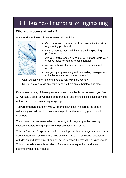# BEE: Business Enterprise & Engineering

## **Who is this course aimed at?**

Anyone with an interest in entrepreneurial creativity.



- Could you work in a team and help solve live industrial engineering problems?
- Do you want to work with inspirational engineering professionals?
- Are you flexible and courageous, willing to throw in your creative ideas for collective consideration?
- Are you willing to learn how to write a professional report?
- Are you up to presenting and persuading management to implement your recommendations?
- Can you apply science and maths to real world situations?
- Do you enjoy a laugh and want to help others enjoy their learning also?

If the answer to any of these questions is yes, then this is the course for you. You will work as a team, so we need entrepreneurs, designers, scientists and anyone with an interest in engineering to sign up.

You will form part of a team who will promote Engineering across the school; collectively you will create a solution to a problem that is set by professional engineers.

The course provides an excellent opportunity to hone your problem solving capability, report writing expertise and presentational expertise.

This is a 'hands on' experience and will develop your time management and team work capabilities. You will visit places of work and other institutions associated with design and development and will begin to network across the business world. This will provide a superb foundation for your future aspirations and is an opportunity not to be missed!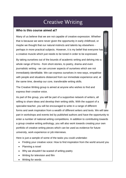# **Creative Writing**

#### **Who is this course aimed at?**

Many of us believe that we are not capable of creative expression. Whether that is because we were never given the opportunity in early childhood, or maybe we thought that our natural instincts and talents lay elsewhere perhaps in more practical subjects. However, it is my belief that everyone has a creative muscle which just needs to be toned in order to be expressed.

By taking ourselves out of the bounds of academic writing and delving into a whole range of forms - from short-stories, to poetry, drama and even journalistic writing - we can uncover aspects of ourselves which are not immediately identifiable. We can express ourselves in new ways, empathise with people and situations distanced from our immediate experience and, at the same time, develop our core, transferable writing skills.

The Creative Writing group is aimed at anyone who wishes to find and express their creative voice.

As part of the group, you will be part of a supportive network of writers, all willing to share ideas and develop their writing skills. With the support of a specialist teacher, you will be encouraged to write in a range of different forms and seek inspiration from a wealth of different writers and texts. We will take part in workshops and events led by published authors and have the opportunity to enter a number of national writing competitions. In addition to contributing towards a group creative writing anthology, you will also work towards creating your own portfolio of creative writing pieces which can be used as evidence for future university, work experience or job interviews.

Here is just a sample of some of the tasks you could undertake:

- Finding your creative voice: How to find inspiration from the world around you
- Planning a novel
- Why we shouldn't be scared of writing poetry
- Writing for television and film
- Writing for words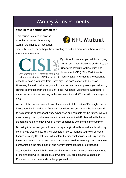## Money & Investments

## **Who is this course aimed at?**

This course is aimed at anyone who thinks they might one day work in the finance or investment



side of business, or perhaps those wanting to find out more about how to invest money for the future.

**CHARTERED INSTITUTE FOR** 

By taking this course, you will be studying for a Level 3 Certificate, accredited by the Chartered Institute for Securities and Investment (CISI). This Certificate is SECURITIES & INVESTMENT usually taken by industry professionals

once they have graduated from university – so don't expect it to be easy! However, if you do make the grade in the exam and written project, you will enjoy lifetime exemption from the first unit in the Investment Operations Certificate, a usual pre-requisite for working in the investment world. (There will be a charge for this).

As part of the course, you will have the chance to take part in CISI insight days at investment banks and other financial institutions in London, and begin networking to help arrange all-important work experience and contacts for the future. We will also be supported by the Investment department at the NFU Mutual, with the top student going on to enjoy a week's work experience with them in the summer.

By taking this course, you will develop key analytical skills as well as developing commercial awareness. You will also learn how to manage your own personal finances – a key life skill. You will explore the financial services industry and the financial assets and markets that it comprises as well as learning how to evaluate companies on the stock market and how investment funds are structured.

So, if you think you might be interested in making money, corporate investments or the financial world, irrespective of whether you are studying Business or Economics, then come and challenge yourself with us.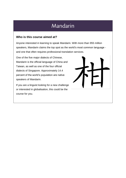## Mandarin

## **Who is this course aimed at?**

Anyone interested in learning to speak Mandarin. With more than 955 million speakers, Mandarin claims the top spot as the world's most common language and one that often requires professional translation services.

One of the five major dialects of Chinese, Mandarin is the official language of China and Taiwan, as well as one of the four official dialects of Singapore. Approximately 14.4 percent of the world's population are native speakers of Mandarin.

If you are a linguist looking for a new challenge or interested in globalisation, this could be the course for you.

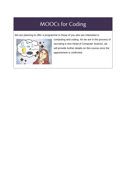# **MOOCs for Coding**

We are planning to offer a programme to those of you who are interested in



computing and coding. As we are in the process of recruiting a new Head of Computer Science, we will provide further details on this course once the appointment is confirmed.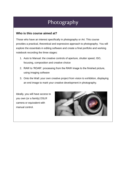# Photography

#### **Who is this course aimed at?**

Those who have an interest specifically in photography or Art. This course provides a practical, theoretical and expressive approach to photography. You will explore the essentials in editing software and create a final portfolio and working notebook recording the three stages:

- 1. Auto to Manual: the creative controls of aperture, shutter speed, ISO, focusing, composition and creative choice
- 2. RAW to 'ROAR': processing from the RAW image to the finished picture, using imaging software
- 3. Onto the Wall: your own creative project from vision to exhibition, displaying an end image to mark your creative development in photography.

Ideally, you will have access to you own (or a family) DSLR camera or equivalent with manual control.

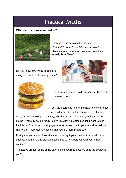## **Practical Maths**

## **Who is this course aimed at?**



There is a phrase along the lines of: *"I wouldn't do that for all the tea in China"*  Have you ever wondered how much tea there actually is in China?

Do you know how many people are using their mobile phones right now?





or how many McDonalds burgers will be sold in the next hour?

If you are interested in learning how to answer these and similar questions, then this course is for you.

Are you taking Biology, Chemistry, Physics, Economics or Psychology but not Maths? You may not be ready to give up studying Maths but don't want to take it for A-level! Credit cards, mortgage rates etc - welcome to your future! Would you like to learn more about these so that you are more prepared?

During the year we will look at some of the key topics covered in A-level Maths such as logarithms and statistical tests that will support you with your other courses.

The above are just some of the examples that will be covered so is the course for you?